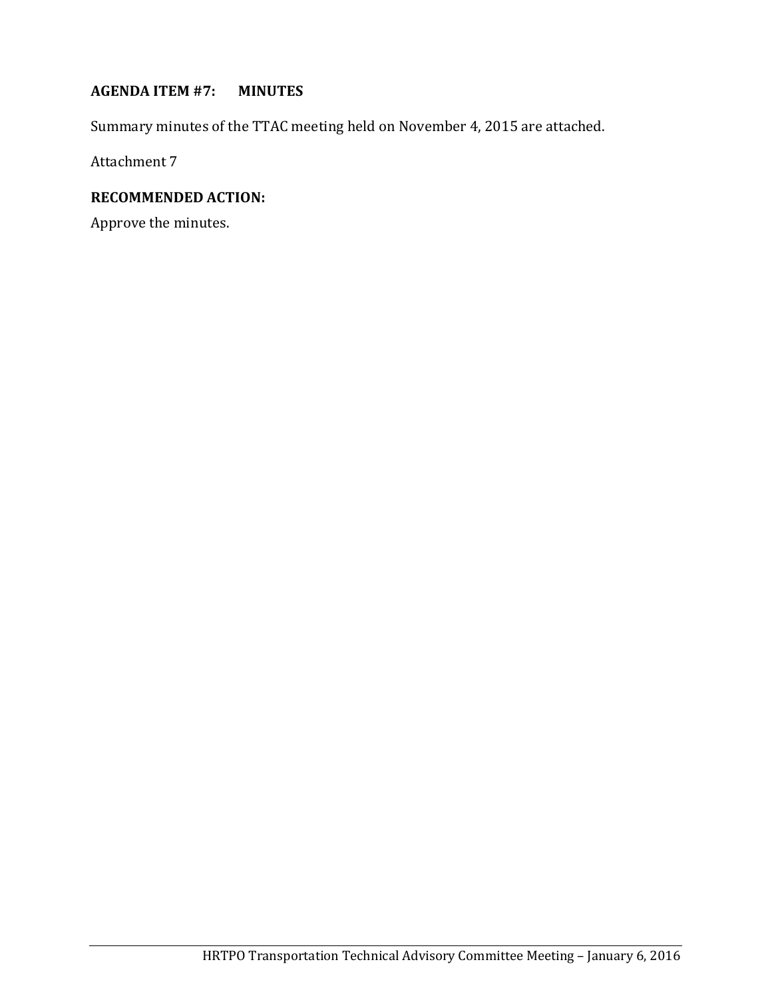### **AGENDA ITEM #7: MINUTES**

Summary minutes of the TTAC meeting held on November 4, 2015 are attached.

Attachment 7

## **RECOMMENDED ACTION:**

Approve the minutes.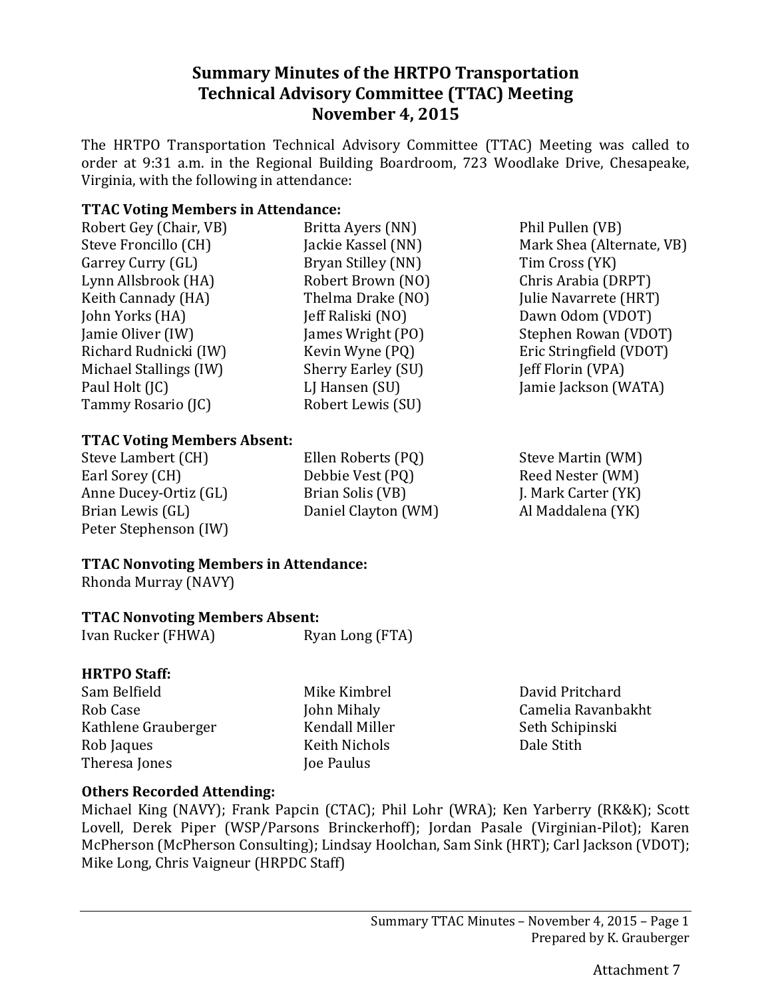## **Summary Minutes of the HRTPO Transportation Technical Advisory Committee (TTAC) Meeting November 4, 2015**

The HRTPO Transportation Technical Advisory Committee (TTAC) Meeting was called to order at 9:31 a.m. in the Regional Building Boardroom, 723 Woodlake Drive, Chesapeake, Virginia, with the following in attendance:

#### **TTAC Voting Members in Attendance:**

| Britta Ayers (NN)         | Phil Pullen (VB)          |
|---------------------------|---------------------------|
| Jackie Kassel (NN)        | Mark Shea (Alternate, VB) |
| Bryan Stilley (NN)        | Tim Cross (YK)            |
| Robert Brown (NO)         | Chris Arabia (DRPT)       |
| Thelma Drake (NO)         | Julie Navarrete (HRT)     |
| Jeff Raliski (NO)         | Dawn Odom (VDOT)          |
| James Wright (PO)         | Stephen Rowan (VDOT)      |
| Kevin Wyne (PQ)           | Eric Stringfield (VDOT)   |
| <b>Sherry Earley (SU)</b> | Jeff Florin (VPA)         |
| LJ Hansen (SU)            | Jamie Jackson (WATA)      |
| Robert Lewis (SU)         |                           |
|                           |                           |

#### **TTAC Voting Members Absent:**

Steve Lambert (CH) Earl Sorey (CH) Anne Ducey-Ortiz (GL) Brian Lewis (GL) Peter Stephenson (IW)

Ellen Roberts (PQ) Debbie Vest (PQ) Brian Solis (VB) Daniel Clayton (WM)

Steve Martin (WM) Reed Nester (WM) J. Mark Carter (YK) Al Maddalena (YK)

## **TTAC Nonvoting Members in Attendance:**

Rhonda Murray (NAVY)

## **TTAC Nonvoting Members Absent:**

Ivan Rucker (FHWA) Ryan Long (FTA)

## **HRTPO Staff:**

Sam Belfield Rob Case Kathlene Grauberger Rob Jaques Theresa Jones

Mike Kimbrel John Mihaly Kendall Miller Keith Nichols Joe Paulus

David Pritchard Camelia Ravanbakht Seth Schipinski Dale Stith

## **Others Recorded Attending:**

Michael King (NAVY); Frank Papcin (CTAC); Phil Lohr (WRA); Ken Yarberry (RK&K); Scott Lovell, Derek Piper (WSP/Parsons Brinckerhoff); Jordan Pasale (Virginian-Pilot); Karen McPherson (McPherson Consulting); Lindsay Hoolchan, Sam Sink (HRT); Carl Jackson (VDOT); Mike Long, Chris Vaigneur (HRPDC Staff)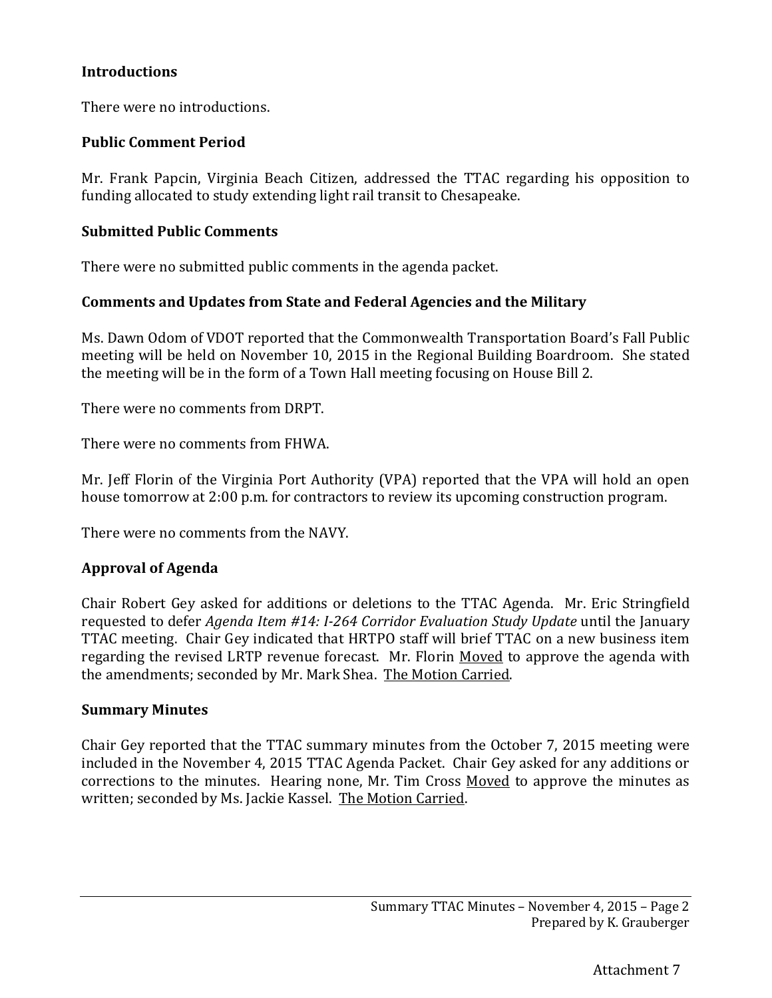#### **Introductions**

There were no introductions.

### **Public Comment Period**

Mr. Frank Papcin, Virginia Beach Citizen, addressed the TTAC regarding his opposition to funding allocated to study extending light rail transit to Chesapeake.

#### **Submitted Public Comments**

There were no submitted public comments in the agenda packet.

#### **Comments and Updates from State and Federal Agencies and the Military**

Ms. Dawn Odom of VDOT reported that the Commonwealth Transportation Board's Fall Public meeting will be held on November 10, 2015 in the Regional Building Boardroom. She stated the meeting will be in the form of a Town Hall meeting focusing on House Bill 2.

There were no comments from DRPT.

There were no comments from FHWA.

Mr. Jeff Florin of the Virginia Port Authority (VPA) reported that the VPA will hold an open house tomorrow at 2:00 p.m. for contractors to review its upcoming construction program.

There were no comments from the NAVY.

## **Approval of Agenda**

Chair Robert Gey asked for additions or deletions to the TTAC Agenda. Mr. Eric Stringfield requested to defer *Agenda Item #14: I-264 Corridor Evaluation Study Update* until the January TTAC meeting. Chair Gey indicated that HRTPO staff will brief TTAC on a new business item regarding the revised LRTP revenue forecast. Mr. Florin Moved to approve the agenda with the amendments; seconded by Mr. Mark Shea. The Motion Carried.

#### **Summary Minutes**

Chair Gey reported that the TTAC summary minutes from the October 7, 2015 meeting were included in the November 4, 2015 TTAC Agenda Packet. Chair Gey asked for any additions or corrections to the minutes. Hearing none, Mr. Tim Cross Moved to approve the minutes as written; seconded by Ms. Jackie Kassel. The Motion Carried.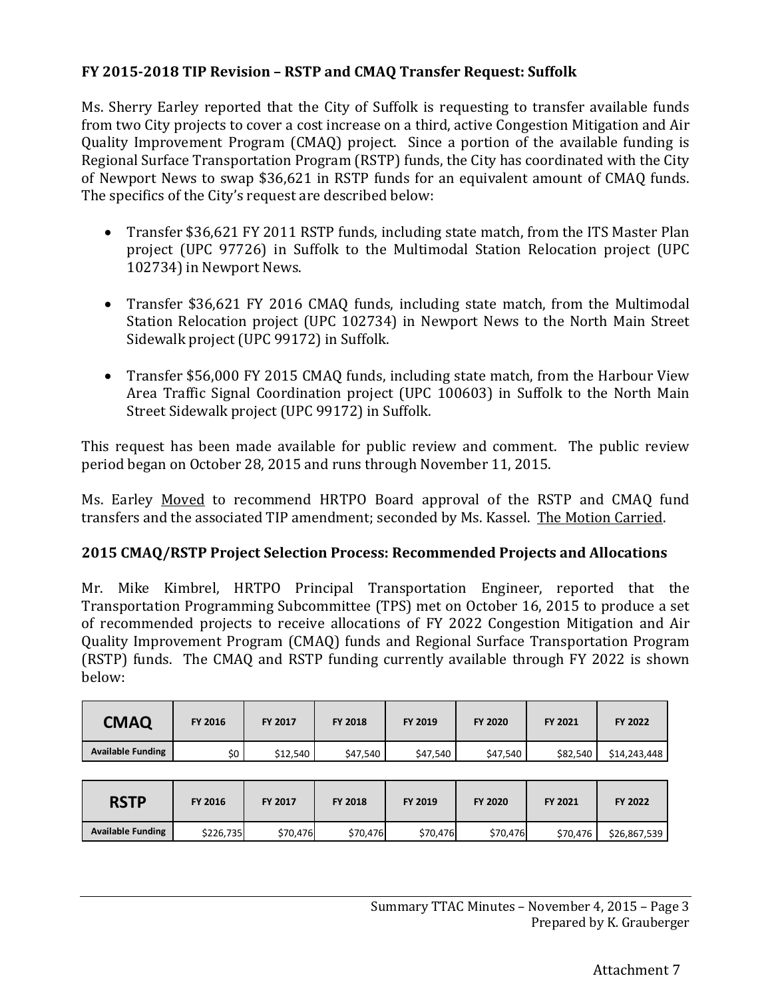## **FY 2015-2018 TIP Revision – RSTP and CMAQ Transfer Request: Suffolk**

Ms. Sherry Earley reported that the City of Suffolk is requesting to transfer available funds from two City projects to cover a cost increase on a third, active Congestion Mitigation and Air Quality Improvement Program (CMAQ) project. Since a portion of the available funding is Regional Surface Transportation Program (RSTP) funds, the City has coordinated with the City of Newport News to swap \$36,621 in RSTP funds for an equivalent amount of CMAQ funds. The specifics of the City's request are described below:

- Transfer \$36,621 FY 2011 RSTP funds, including state match, from the ITS Master Plan project (UPC 97726) in Suffolk to the Multimodal Station Relocation project (UPC 102734) in Newport News.
- Transfer \$36,621 FY 2016 CMAQ funds, including state match, from the Multimodal Station Relocation project (UPC 102734) in Newport News to the North Main Street Sidewalk project (UPC 99172) in Suffolk.
- Transfer \$56,000 FY 2015 CMAQ funds, including state match, from the Harbour View Area Traffic Signal Coordination project (UPC 100603) in Suffolk to the North Main Street Sidewalk project (UPC 99172) in Suffolk.

This request has been made available for public review and comment. The public review period began on October 28, 2015 and runs through November 11, 2015.

Ms. Earley Moved to recommend HRTPO Board approval of the RSTP and CMAQ fund transfers and the associated TIP amendment; seconded by Ms. Kassel. The Motion Carried.

#### **2015 CMAQ/RSTP Project Selection Process: Recommended Projects and Allocations**

Mr. Mike Kimbrel, HRTPO Principal Transportation Engineer, reported that the Transportation Programming Subcommittee (TPS) met on October 16, 2015 to produce a set of recommended projects to receive allocations of FY 2022 Congestion Mitigation and Air Quality Improvement Program (CMAQ) funds and Regional Surface Transportation Program (RSTP) funds. The CMAQ and RSTP funding currently available through FY 2022 is shown below:

| <b>CMAQ</b>              | FY 2016 | <b>FY 2017</b> | <b>FY 2018</b> | <b>FY 2019</b> | <b>FY 2020</b> | <b>FY 2021</b> | <b>FY 2022</b> |
|--------------------------|---------|----------------|----------------|----------------|----------------|----------------|----------------|
| <b>Available Funding</b> | \$0     | \$12,540       | \$47,540       | \$47,540       | \$47,540       | \$82,540       | \$14,243,448   |

| <b>RSTP</b>              | <b>FY 2016</b> | <b>FY 2017</b> | <b>FY 2018</b> | FY 2019  | <b>FY 2020</b> | <b>FY 2021</b> | <b>FY 2022</b> |
|--------------------------|----------------|----------------|----------------|----------|----------------|----------------|----------------|
| <b>Available Funding</b> | \$226,735      | \$70,476       | \$70,476       | \$70,476 | \$70,476       | \$70.476       | \$26,867,539   |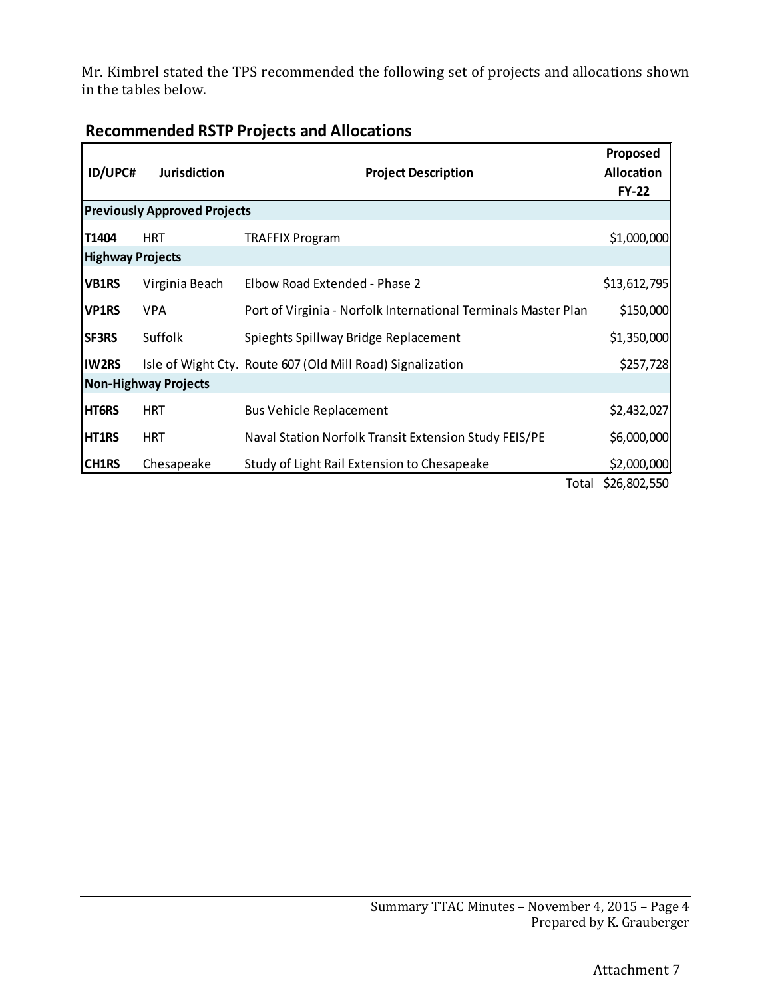Mr. Kimbrel stated the TPS recommended the following set of projects and allocations shown in the tables below.

| <b>ID/UPC#</b>          | <b>Jurisdiction</b>                 | <b>Project Description</b>                                     | Proposed<br><b>Allocation</b><br><b>FY-22</b> |
|-------------------------|-------------------------------------|----------------------------------------------------------------|-----------------------------------------------|
|                         | <b>Previously Approved Projects</b> |                                                                |                                               |
| T1404                   | <b>HRT</b>                          | <b>TRAFFIX Program</b>                                         | \$1,000,000                                   |
| <b>Highway Projects</b> |                                     |                                                                |                                               |
| <b>VB1RS</b>            | Virginia Beach                      | Elbow Road Extended - Phase 2                                  | \$13,612,795                                  |
| <b>VP1RS</b>            | <b>VPA</b>                          | Port of Virginia - Norfolk International Terminals Master Plan | \$150,000                                     |
| <b>SF3RS</b>            | Suffolk                             | Spieghts Spillway Bridge Replacement                           | \$1,350,000                                   |
| <b>IW2RS</b>            |                                     | Isle of Wight Cty. Route 607 (Old Mill Road) Signalization     | \$257,728                                     |
|                         | <b>Non-Highway Projects</b>         |                                                                |                                               |
| <b>HT6RS</b>            | <b>HRT</b>                          | <b>Bus Vehicle Replacement</b>                                 | \$2,432,027                                   |
| <b>HT1RS</b>            | <b>HRT</b>                          | Naval Station Norfolk Transit Extension Study FEIS/PE          | \$6,000,000                                   |
| <b>CH1RS</b>            | Chesapeake                          | Study of Light Rail Extension to Chesapeake                    | \$2,000,000                                   |
|                         |                                     | Total                                                          | \$26,802,550                                  |

# **Recommended RSTP Projects and Allocations**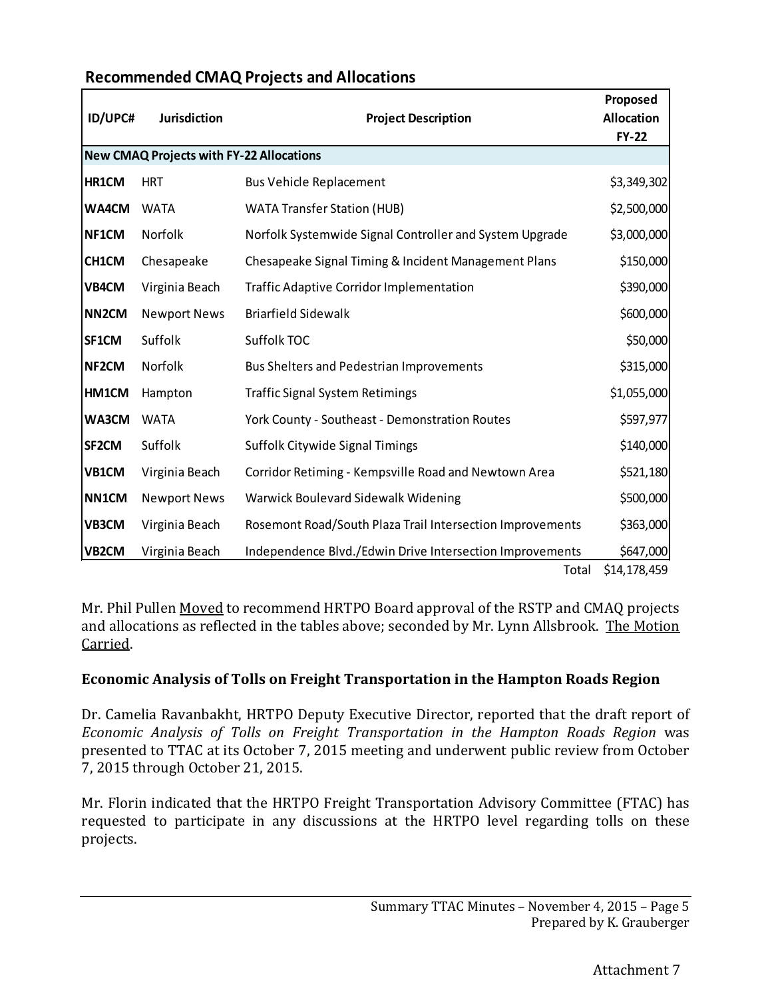| <b>ID/UPC#</b>     | Jurisdiction                                    | <b>Project Description</b>                                | Proposed<br><b>Allocation</b><br><b>FY-22</b> |
|--------------------|-------------------------------------------------|-----------------------------------------------------------|-----------------------------------------------|
|                    | <b>New CMAQ Projects with FY-22 Allocations</b> |                                                           |                                               |
| <b>HR1CM</b>       | <b>HRT</b>                                      | <b>Bus Vehicle Replacement</b>                            | \$3,349,302                                   |
| <b>WA4CM</b>       | <b>WATA</b>                                     | <b>WATA Transfer Station (HUB)</b>                        | \$2,500,000                                   |
| NF1CM              | Norfolk                                         | Norfolk Systemwide Signal Controller and System Upgrade   | \$3,000,000                                   |
| CH1CM              | Chesapeake                                      | Chesapeake Signal Timing & Incident Management Plans      | \$150,000                                     |
| VB4CM              | Virginia Beach                                  | <b>Traffic Adaptive Corridor Implementation</b>           | \$390,000                                     |
| NN <sub>2</sub> CM | <b>Newport News</b>                             | <b>Briarfield Sidewalk</b>                                | \$600,000                                     |
| SF1CM              | Suffolk                                         | Suffolk TOC                                               | \$50,000                                      |
| NF2CM              | Norfolk                                         | <b>Bus Shelters and Pedestrian Improvements</b>           | \$315,000                                     |
| HM1CM              | Hampton                                         | <b>Traffic Signal System Retimings</b>                    | \$1,055,000                                   |
| WA3CM              | <b>WATA</b>                                     | York County - Southeast - Demonstration Routes            | \$597,977                                     |
| SF <sub>2</sub> CM | Suffolk                                         | Suffolk Citywide Signal Timings                           | \$140,000                                     |
| VB1CM              | Virginia Beach                                  | Corridor Retiming - Kempsville Road and Newtown Area      | \$521,180                                     |
| NN1CM              | <b>Newport News</b>                             | Warwick Boulevard Sidewalk Widening                       | \$500,000                                     |
| VB3CM              | Virginia Beach                                  | Rosemont Road/South Plaza Trail Intersection Improvements | \$363,000                                     |
| VB <sub>2</sub> CM | Virginia Beach                                  | Independence Blvd./Edwin Drive Intersection Improvements  | \$647,000                                     |
|                    |                                                 | Total                                                     | \$14,178,459                                  |

## **Recommended CMAQ Projects and Allocations**

Mr. Phil Pullen Moved to recommend HRTPO Board approval of the RSTP and CMAQ projects and allocations as reflected in the tables above; seconded by Mr. Lynn Allsbrook. The Motion Carried.

## **Economic Analysis of Tolls on Freight Transportation in the Hampton Roads Region**

Dr. Camelia Ravanbakht, HRTPO Deputy Executive Director, reported that the draft report of *Economic Analysis of Tolls on Freight Transportation in the Hampton Roads Region* was presented to TTAC at its October 7, 2015 meeting and underwent public review from October 7, 2015 through October 21, 2015.

Mr. Florin indicated that the HRTPO Freight Transportation Advisory Committee (FTAC) has requested to participate in any discussions at the HRTPO level regarding tolls on these projects.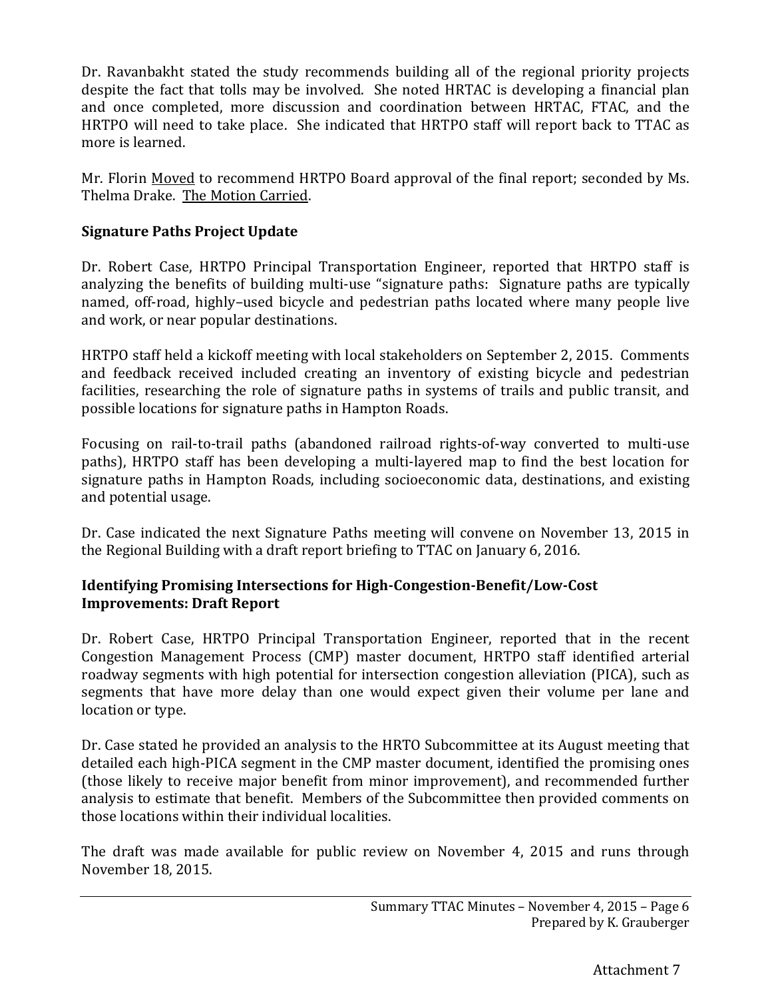Dr. Ravanbakht stated the study recommends building all of the regional priority projects despite the fact that tolls may be involved. She noted HRTAC is developing a financial plan and once completed, more discussion and coordination between HRTAC, FTAC, and the HRTPO will need to take place. She indicated that HRTPO staff will report back to TTAC as more is learned.

Mr. Florin Moved to recommend HRTPO Board approval of the final report; seconded by Ms. Thelma Drake. The Motion Carried.

## **Signature Paths Project Update**

Dr. Robert Case, HRTPO Principal Transportation Engineer, reported that HRTPO staff is analyzing the benefits of building multi-use "signature paths: Signature paths are typically named, off-road, highly–used bicycle and pedestrian paths located where many people live and work, or near popular destinations.

HRTPO staff held a kickoff meeting with local stakeholders on September 2, 2015. Comments and feedback received included creating an inventory of existing bicycle and pedestrian facilities, researching the role of signature paths in systems of trails and public transit, and possible locations for signature paths in Hampton Roads.

Focusing on rail-to-trail paths (abandoned railroad rights-of-way converted to multi-use paths), HRTPO staff has been developing a multi-layered map to find the best location for signature paths in Hampton Roads, including socioeconomic data, destinations, and existing and potential usage.

Dr. Case indicated the next Signature Paths meeting will convene on November 13, 2015 in the Regional Building with a draft report briefing to TTAC on January 6, 2016.

## **Identifying Promising Intersections for High-Congestion-Benefit/Low-Cost Improvements: Draft Report**

Dr. Robert Case, HRTPO Principal Transportation Engineer, reported that in the recent Congestion Management Process (CMP) master document, HRTPO staff identified arterial roadway segments with high potential for intersection congestion alleviation (PICA), such as segments that have more delay than one would expect given their volume per lane and location or type.

Dr. Case stated he provided an analysis to the HRTO Subcommittee at its August meeting that detailed each high-PICA segment in the CMP master document, identified the promising ones (those likely to receive major benefit from minor improvement), and recommended further analysis to estimate that benefit. Members of the Subcommittee then provided comments on those locations within their individual localities.

The draft was made available for public review on November 4, 2015 and runs through November 18, 2015.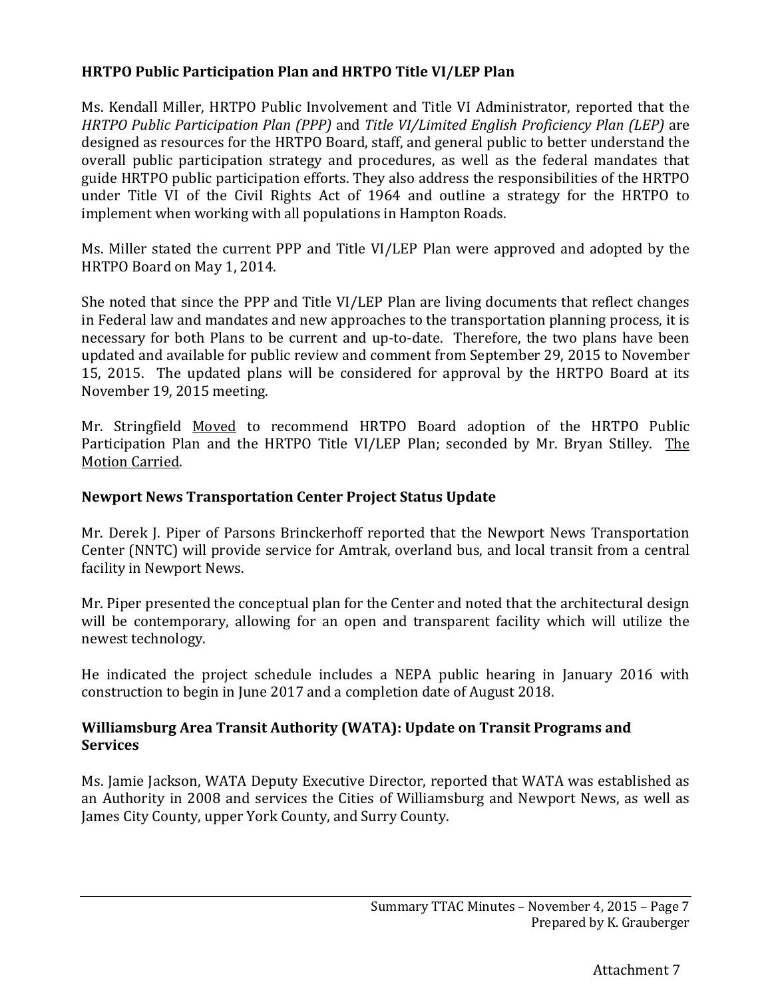## **HRTPO Public Participation Plan and HRTPO Title VI/LEP Plan**

Ms. Kendall Miller, HRTPO Public Involvement and Title VI Administrator, reported that the *HRTPO Public Participation Plan (PPP)* and *Title VI/Limited English Proficiency Plan (LEP)* are designed as resources for the HRTPO Board, staff, and general public to better understand the overall public participation strategy and procedures, as well as the federal mandates that guide HRTPO public participation efforts. They also address the responsibilities of the HRTPO under Title VI of the Civil Rights Act of 1964 and outline a strategy for the HRTPO to implement when working with all populations in Hampton Roads.

Ms. Miller stated the current PPP and Title VI/LEP Plan were approved and adopted by the HRTPO Board on May 1, 2014.

She noted that since the PPP and Title VI/LEP Plan are living documents that reflect changes in Federal law and mandates and new approaches to the transportation planning process, it is necessary for both Plans to be current and up-to-date. Therefore, the two plans have been updated and available for public review and comment from September 29, 2015 to November 15, 2015. The updated plans will be considered for approval by the HRTPO Board at its November 19, 2015 meeting.

Mr. Stringfield Moved to recommend HRTPO Board adoption of the HRTPO Public Participation Plan and the HRTPO Title VI/LEP Plan; seconded by Mr. Bryan Stilley. The Motion Carried.

### **Newport News Transportation Center Project Status Update**

Mr. Derek J. Piper of Parsons Brinckerhoff reported that the Newport News Transportation Center (NNTC) will provide service for Amtrak, overland bus, and local transit from a central facility in Newport News.

Mr. Piper presented the conceptual plan for the Center and noted that the architectural design will be contemporary, allowing for an open and transparent facility which will utilize the newest technology.

He indicated the project schedule includes a NEPA public hearing in January 2016 with construction to begin in June 2017 and a completion date of August 2018.

#### **Williamsburg Area Transit Authority (WATA): Update on Transit Programs and Services**

Ms. Jamie Jackson, WATA Deputy Executive Director, reported that WATA was established as an Authority in 2008 and services the Cities of Williamsburg and Newport News, as well as James City County, upper York County, and Surry County.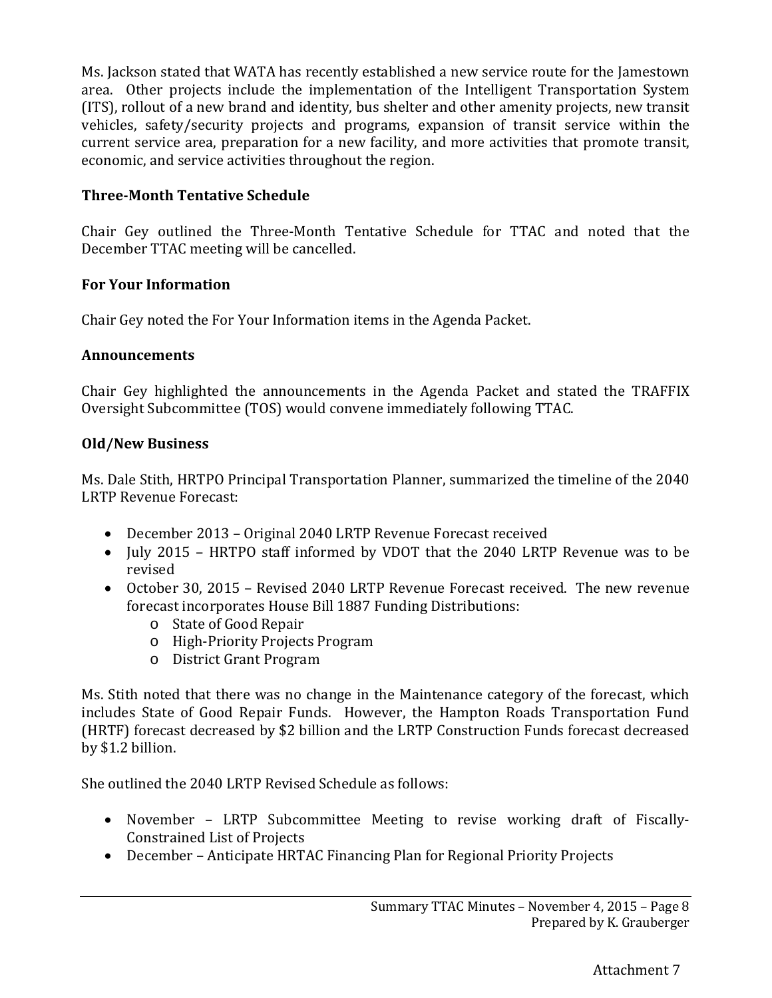Ms. Jackson stated that WATA has recently established a new service route for the Jamestown area. Other projects include the implementation of the Intelligent Transportation System (ITS), rollout of a new brand and identity, bus shelter and other amenity projects, new transit vehicles, safety/security projects and programs, expansion of transit service within the current service area, preparation for a new facility, and more activities that promote transit, economic, and service activities throughout the region.

## **Three-Month Tentative Schedule**

Chair Gey outlined the Three-Month Tentative Schedule for TTAC and noted that the December TTAC meeting will be cancelled.

## **For Your Information**

Chair Gey noted the For Your Information items in the Agenda Packet.

## **Announcements**

Chair Gey highlighted the announcements in the Agenda Packet and stated the TRAFFIX Oversight Subcommittee (TOS) would convene immediately following TTAC.

## **Old/New Business**

Ms. Dale Stith, HRTPO Principal Transportation Planner, summarized the timeline of the 2040 LRTP Revenue Forecast:

- December 2013 Original 2040 LRTP Revenue Forecast received
- July 2015 HRTPO staff informed by VDOT that the 2040 LRTP Revenue was to be revised
- October 30, 2015 Revised 2040 LRTP Revenue Forecast received. The new revenue forecast incorporates House Bill 1887 Funding Distributions:
	- o State of Good Repair
	- o High-Priority Projects Program
	- o District Grant Program

Ms. Stith noted that there was no change in the Maintenance category of the forecast, which includes State of Good Repair Funds. However, the Hampton Roads Transportation Fund (HRTF) forecast decreased by \$2 billion and the LRTP Construction Funds forecast decreased by \$1.2 billion.

She outlined the 2040 LRTP Revised Schedule as follows:

- November LRTP Subcommittee Meeting to revise working draft of Fiscally-Constrained List of Projects
- December Anticipate HRTAC Financing Plan for Regional Priority Projects